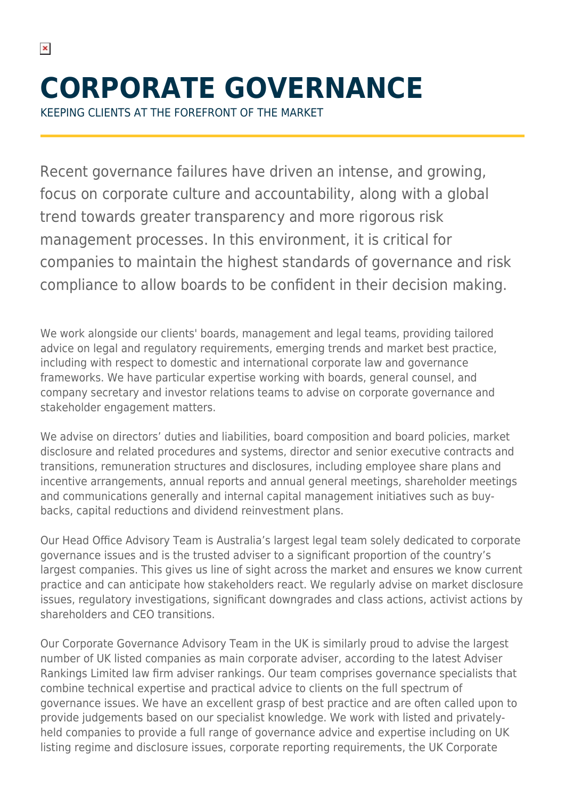KEEPING CLIENTS AT THE FOREFRONT OF THE MARKET

 $\pmb{\times}$ 

Recent governance failures have driven an intense, and growing, focus on corporate culture and accountability, along with a global trend towards greater transparency and more rigorous risk management processes. In this environment, it is critical for companies to maintain the highest standards of governance and risk compliance to allow boards to be confident in their decision making.

We work alongside our clients' boards, management and legal teams, providing tailored advice on legal and regulatory requirements, emerging trends and market best practice, including with respect to domestic and international corporate law and governance frameworks. We have particular expertise working with boards, general counsel, and company secretary and investor relations teams to advise on corporate governance and stakeholder engagement matters.

We advise on directors' duties and liabilities, board composition and board policies, market disclosure and related procedures and systems, director and senior executive contracts and transitions, remuneration structures and disclosures, including employee share plans and incentive arrangements, annual reports and annual general meetings, shareholder meetings and communications generally and internal capital management initiatives such as buybacks, capital reductions and dividend reinvestment plans.

Our Head Office Advisory Team is Australia's largest legal team solely dedicated to corporate governance issues and is the trusted adviser to a significant proportion of the country's largest companies. This gives us line of sight across the market and ensures we know current practice and can anticipate how stakeholders react. We regularly advise on market disclosure issues, regulatory investigations, significant downgrades and class actions, activist actions by shareholders and CEO transitions.

Our Corporate Governance Advisory Team in the UK is similarly proud to advise the largest number of UK listed companies as main corporate adviser, according to the latest Adviser Rankings Limited law firm adviser rankings. Our team comprises governance specialists that combine technical expertise and practical advice to clients on the full spectrum of governance issues. We have an excellent grasp of best practice and are often called upon to provide judgements based on our specialist knowledge. We work with listed and privatelyheld companies to provide a full range of governance advice and expertise including on UK listing regime and disclosure issues, corporate reporting requirements, the UK Corporate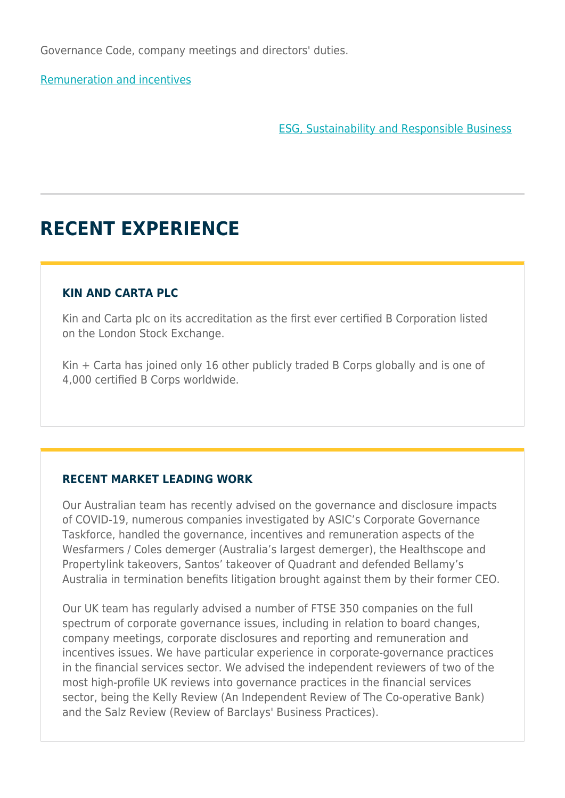Governance Code, company meetings and directors' duties.

[Remuneration and incentives](https://www.herbertsmithfreehills.com/our-expertise/services/remuneration-and-incentives)

[ESG, Sustainability and Responsible Business](https://www.herbertsmithfreehills.com/our-expertise/services/esg-sustainability-and-responsible-business)

# **RECENT EXPERIENCE**

## **KIN AND CARTA PLC**

Kin and Carta plc on its accreditation as the first ever certified B Corporation listed on the London Stock Exchange.

Kin + Carta has joined only 16 other publicly traded B Corps globally and is one of 4,000 certified B Corps worldwide.

## **RECENT MARKET LEADING WORK**

Our Australian team has recently advised on the governance and disclosure impacts of COVID-19, numerous companies investigated by ASIC's Corporate Governance Taskforce, handled the governance, incentives and remuneration aspects of the Wesfarmers / Coles demerger (Australia's largest demerger), the Healthscope and Propertylink takeovers, Santos' takeover of Quadrant and defended Bellamy's Australia in termination benefits litigation brought against them by their former CEO.

Our UK team has regularly advised a number of FTSE 350 companies on the full spectrum of corporate governance issues, including in relation to board changes, company meetings, corporate disclosures and reporting and remuneration and incentives issues. We have particular experience in corporate-governance practices in the financial services sector. We advised the independent reviewers of two of the most high-profile UK reviews into governance practices in the financial services sector, being the Kelly Review (An Independent Review of The Co-operative Bank) and the Salz Review (Review of Barclays' Business Practices).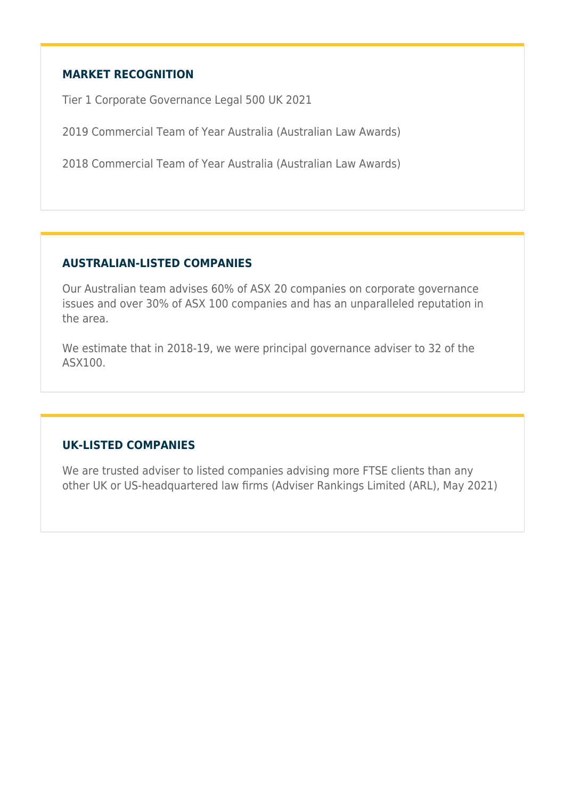### **MARKET RECOGNITION**

Tier 1 Corporate Governance Legal 500 UK 2021

2019 Commercial Team of Year Australia (Australian Law Awards)

2018 Commercial Team of Year Australia (Australian Law Awards)

#### **AUSTRALIAN-LISTED COMPANIES**

Our Australian team advises 60% of ASX 20 companies on corporate governance issues and over 30% of ASX 100 companies and has an unparalleled reputation in the area.

We estimate that in 2018-19, we were principal governance adviser to 32 of the ASX100.

#### **UK-LISTED COMPANIES**

We are trusted adviser to listed companies advising more FTSE clients than any other UK or US-headquartered law firms (Adviser Rankings Limited (ARL), May 2021)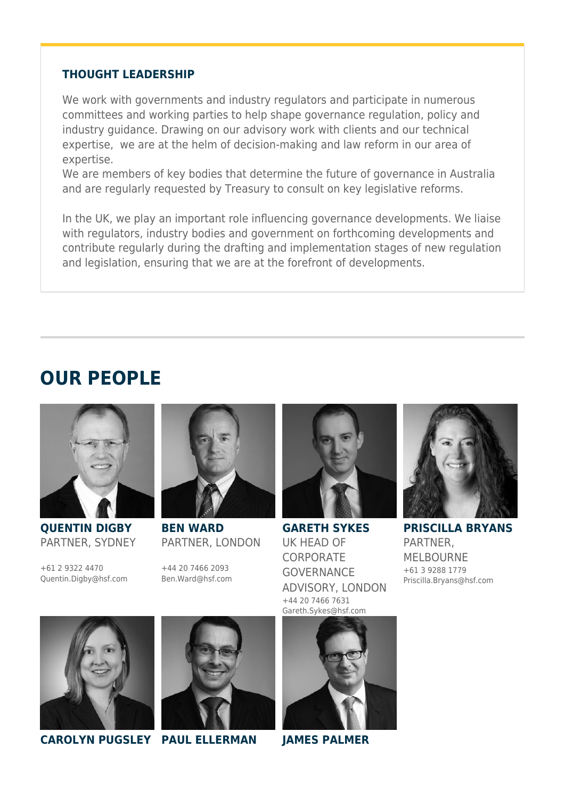#### **THOUGHT LEADERSHIP**

We work with governments and industry regulators and participate in numerous committees and working parties to help shape governance regulation, policy and industry guidance. Drawing on our advisory work with clients and our technical expertise, we are at the helm of decision-making and law reform in our area of expertise.

We are members of key bodies that determine the future of governance in Australia and are regularly requested by Treasury to consult on key legislative reforms.

In the UK, we play an important role influencing governance developments. We liaise with regulators, industry bodies and government on forthcoming developments and contribute regularly during the drafting and implementation stages of new regulation and legislation, ensuring that we are at the forefront of developments.

# **OUR PEOPLE**



**QUENTIN DIGBY** PARTNER, SYDNEY

+61 2 9322 4470 Quentin.Digby@hsf.com



**BEN WARD** PARTNER, LONDON

+44 20 7466 2093 Ben.Ward@hsf.com



**GARETH SYKES** UK HEAD OF **CORPORATE GOVERNANCE** ADVISORY, LONDON +44 20 7466 7631 Gareth.Sykes@hsf.com



**PRISCILLA BRYANS** PARTNER, MELBOURNE +61 3 9288 1779 Priscilla.Bryans@hsf.com





**CAROLYN PUGSLEY PAUL ELLERMAN JAMES PALMER**